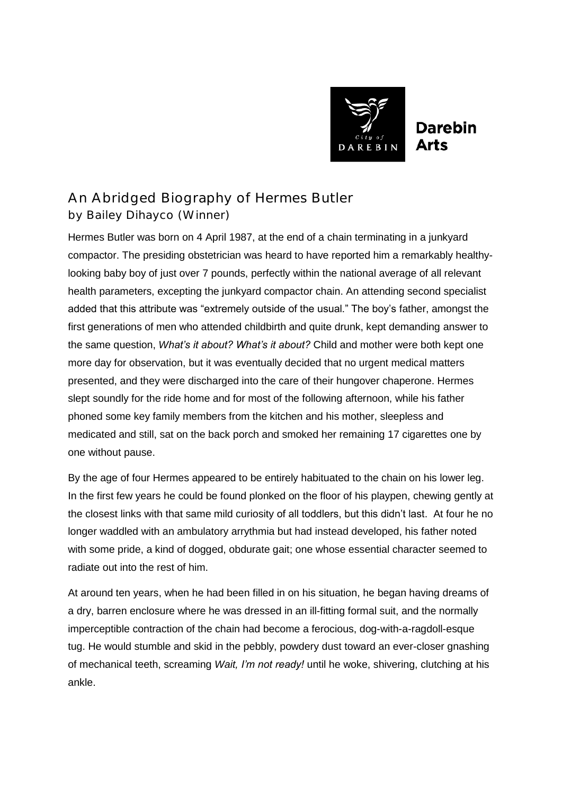

## **Darebin** Arts

## An Abridged Biography of Hermes Butler by Bailey Dihayco (Winner)

Hermes Butler was born on 4 April 1987, at the end of a chain terminating in a junkyard compactor. The presiding obstetrician was heard to have reported him a remarkably healthylooking baby boy of just over 7 pounds, perfectly within the national average of all relevant health parameters, excepting the junkyard compactor chain. An attending second specialist added that this attribute was "extremely outside of the usual." The boy's father, amongst the first generations of men who attended childbirth and quite drunk, kept demanding answer to the same question, *What's it about? What's it about?* Child and mother were both kept one more day for observation, but it was eventually decided that no urgent medical matters presented, and they were discharged into the care of their hungover chaperone. Hermes slept soundly for the ride home and for most of the following afternoon, while his father phoned some key family members from the kitchen and his mother, sleepless and medicated and still, sat on the back porch and smoked her remaining 17 cigarettes one by one without pause.

By the age of four Hermes appeared to be entirely habituated to the chain on his lower leg. In the first few years he could be found plonked on the floor of his playpen, chewing gently at the closest links with that same mild curiosity of all toddlers, but this didn't last. At four he no longer waddled with an ambulatory arrythmia but had instead developed, his father noted with some pride, a kind of dogged, obdurate gait; one whose essential character seemed to radiate out into the rest of him.

At around ten years, when he had been filled in on his situation, he began having dreams of a dry, barren enclosure where he was dressed in an ill-fitting formal suit, and the normally imperceptible contraction of the chain had become a ferocious, dog-with-a-ragdoll-esque tug. He would stumble and skid in the pebbly, powdery dust toward an ever-closer gnashing of mechanical teeth, screaming *Wait, I'm not ready!* until he woke, shivering, clutching at his ankle.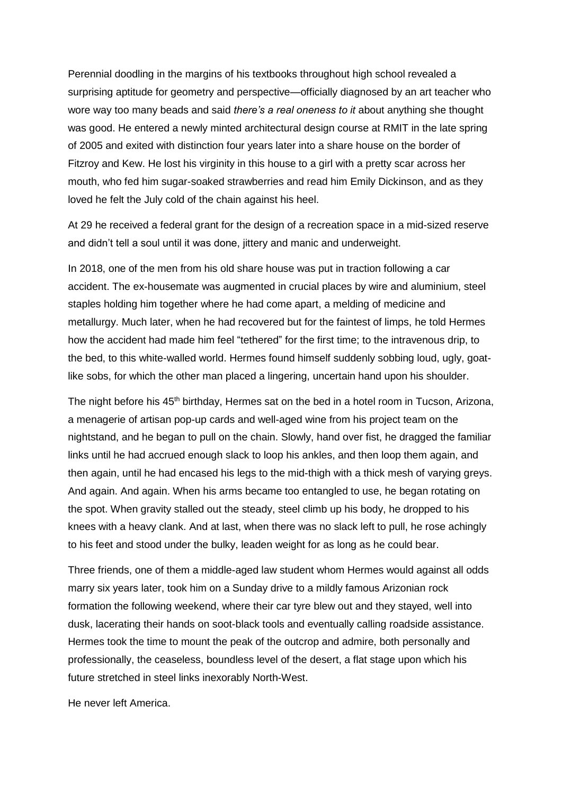Perennial doodling in the margins of his textbooks throughout high school revealed a surprising aptitude for geometry and perspective—officially diagnosed by an art teacher who wore way too many beads and said *there's a real oneness to it* about anything she thought was good. He entered a newly minted architectural design course at RMIT in the late spring of 2005 and exited with distinction four years later into a share house on the border of Fitzroy and Kew. He lost his virginity in this house to a girl with a pretty scar across her mouth, who fed him sugar-soaked strawberries and read him Emily Dickinson, and as they loved he felt the July cold of the chain against his heel.

At 29 he received a federal grant for the design of a recreation space in a mid-sized reserve and didn't tell a soul until it was done, jittery and manic and underweight.

In 2018, one of the men from his old share house was put in traction following a car accident. The ex-housemate was augmented in crucial places by wire and aluminium, steel staples holding him together where he had come apart, a melding of medicine and metallurgy. Much later, when he had recovered but for the faintest of limps, he told Hermes how the accident had made him feel "tethered" for the first time; to the intravenous drip, to the bed, to this white-walled world. Hermes found himself suddenly sobbing loud, ugly, goatlike sobs, for which the other man placed a lingering, uncertain hand upon his shoulder.

The night before his 45<sup>th</sup> birthday, Hermes sat on the bed in a hotel room in Tucson, Arizona, a menagerie of artisan pop-up cards and well-aged wine from his project team on the nightstand, and he began to pull on the chain. Slowly, hand over fist, he dragged the familiar links until he had accrued enough slack to loop his ankles, and then loop them again, and then again, until he had encased his legs to the mid-thigh with a thick mesh of varying greys. And again. And again. When his arms became too entangled to use, he began rotating on the spot. When gravity stalled out the steady, steel climb up his body, he dropped to his knees with a heavy clank. And at last, when there was no slack left to pull, he rose achingly to his feet and stood under the bulky, leaden weight for as long as he could bear.

Three friends, one of them a middle-aged law student whom Hermes would against all odds marry six years later, took him on a Sunday drive to a mildly famous Arizonian rock formation the following weekend, where their car tyre blew out and they stayed, well into dusk, lacerating their hands on soot-black tools and eventually calling roadside assistance. Hermes took the time to mount the peak of the outcrop and admire, both personally and professionally, the ceaseless, boundless level of the desert, a flat stage upon which his future stretched in steel links inexorably North-West.

He never left America.